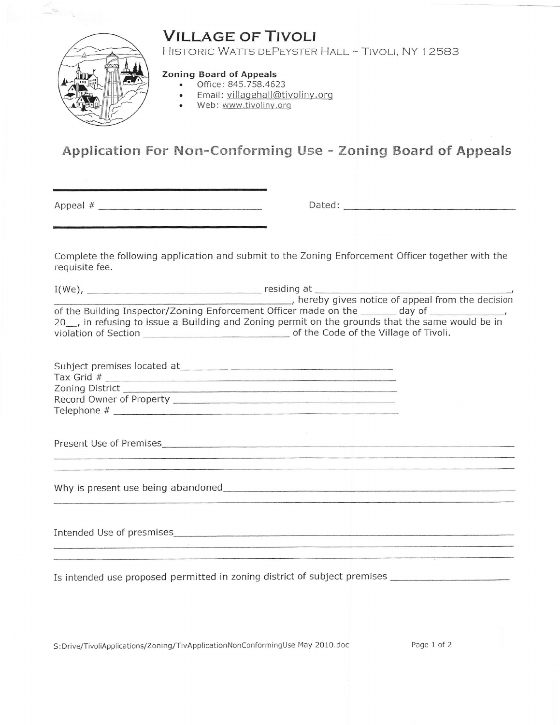## **VILLAGE OF TIVOLI**



HISTORIC WATTS DEPEYSTER HALL ~ TIVOLI, NY 12583

## Zoning Board of Appeals

- . Office:845.758.4623
- . Email: villaqehall@tivoliny.orq
- Web: www.tivoliny.orq

## Application For Non-Conforming Use - Zoning Board of Appeals

Appeal # Dated:

Complete the following application and submit to the Zoning Enforcement Officer together with the requisite fee.

I(we), resid ing at hereby gives notice of appeal from the decision of the Building Inspector/Zoning Enforcement Officer made on the \_\_\_\_\_\_ day of \_\_\_\_\_\_\_\_ 2O\_, in refusing to issue a Building and Zoning permit on the grounds that the same would be in violation of Section of the Code of the Village of Tivoli.

| Subject premises located at |  |
|-----------------------------|--|
| Tax Grid #                  |  |
| Zoning District             |  |
| Record Owner of Property    |  |
| Telephone #                 |  |
|                             |  |

Present Use of Premises

Why is present use being abandoned

Intended Use of presmises

Is intended use proposed permitted in zoning district of subject premises

S:Drive/TivoliApplications/Zoning/TivApplicationNonConformingUse May 2010.doc Page 1 of 2